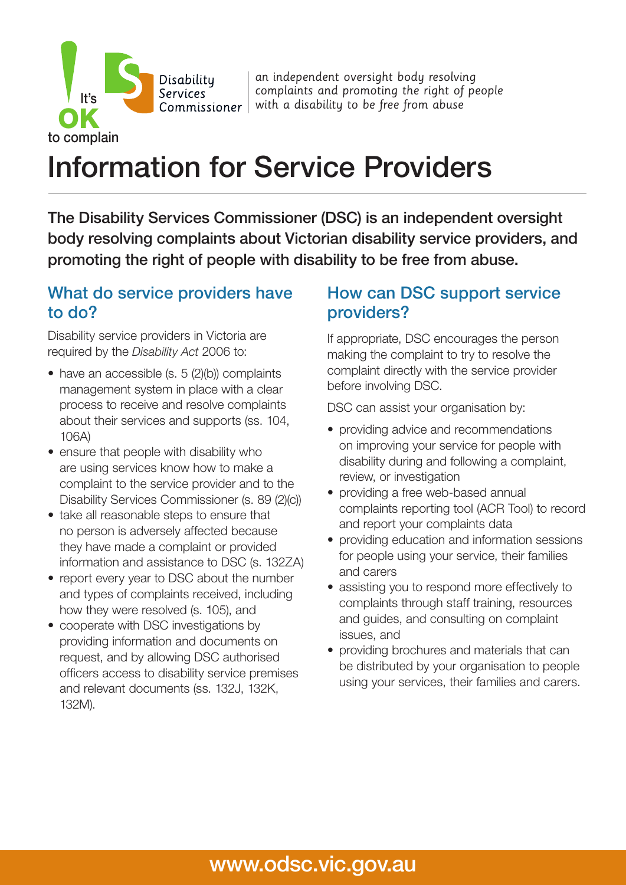an independent oversight body resolving complaints and promoting the right of people **COMMISSION COMMISSIONER WITH A disability to be free from abuse** 

# Information for Service Providers

The Disability Services Commissioner (DSC) is an independent oversight body resolving complaints about Victorian disability service providers, and promoting the right of people with disability to be free from abuse.

#### What do service providers have to do?

Disabilitu **Services** 

Disability service providers in Victoria are required by the *Disability Act* 2006 to:

to complain

It's

- have an accessible (s. 5 (2)(b)) complaints management system in place with a clear process to receive and resolve complaints about their services and supports (ss. 104, 106A)
- ensure that people with disability who are using services know how to make a complaint to the service provider and to the Disability Services Commissioner (s. 89 (2)(c))
- take all reasonable steps to ensure that no person is adversely affected because they have made a complaint or provided information and assistance to DSC (s. 132ZA)
- report every year to DSC about the number and types of complaints received, including how they were resolved (s. 105), and
- cooperate with DSC investigations by providing information and documents on request, and by allowing DSC authorised officers access to disability service premises and relevant documents (ss. 132J, 132K, 132M).

#### How can DSC support service providers?

If appropriate, DSC encourages the person making the complaint to try to resolve the complaint directly with the service provider before involving DSC.

DSC can assist your organisation by:

- providing advice and recommendations on improving your service for people with disability during and following a complaint, review, or investigation
- providing a free web-based annual complaints reporting tool (ACR Tool) to record and report your complaints data
- providing education and information sessions for people using your service, their families and carers
- assisting you to respond more effectively to complaints through staff training, resources and guides, and consulting on complaint issues, and
- providing brochures and materials that can be distributed by your organisation to people using your services, their families and carers.